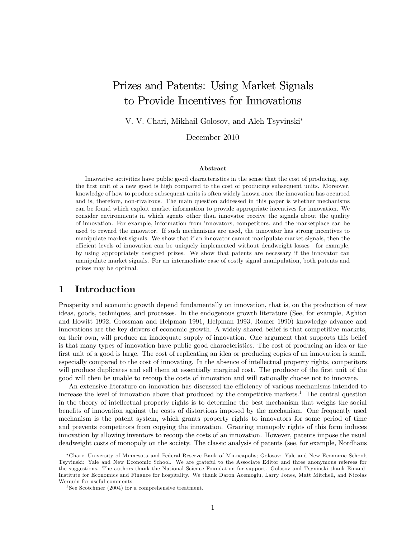# Prizes and Patents: Using Market Signals to Provide Incentives for Innovations

V. V. Chari, Mikhail Golosov, and Aleh Tsyvinski

December 2010

#### Abstract

Innovative activities have public good characteristics in the sense that the cost of producing, say, the first unit of a new good is high compared to the cost of producing subsequent units. Moreover, knowledge of how to produce subsequent units is often widely known once the innovation has occurred and is, therefore, non-rivalrous. The main question addressed in this paper is whether mechanisms can be found which exploit market information to provide appropriate incentives for innovation. We consider environments in which agents other than innovator receive the signals about the quality of innovation. For example, information from innovators, competitors, and the marketplace can be used to reward the innovator. If such mechanisms are used, the innovator has strong incentives to manipulate market signals. We show that if an innovator cannot manipulate market signals, then the efficient levels of innovation can be uniquely implemented without deadweight losses—for example, by using appropriately designed prizes. We show that patents are necessary if the innovator can manipulate market signals. For an intermediate case of costly signal manipulation, both patents and prizes may be optimal.

# 1 Introduction

Prosperity and economic growth depend fundamentally on innovation, that is, on the production of new ideas, goods, techniques, and processes. In the endogenous growth literature (See, for example, Aghion and Howitt 1992, Grossman and Helpman 1991, Helpman 1993, Romer 1990) knowledge advance and innovations are the key drivers of economic growth. A widely shared belief is that competitive markets, on their own, will produce an inadequate supply of innovation. One argument that supports this belief is that many types of innovation have public good characteristics. The cost of producing an idea or the first unit of a good is large. The cost of replicating an idea or producing copies of an innovation is small, especially compared to the cost of innovating. In the absence of intellectual property rights, competitors will produce duplicates and sell them at essentially marginal cost. The producer of the first unit of the good will then be unable to recoup the costs of innovation and will rationally choose not to innovate.

An extensive literature on innovation has discussed the efficiency of various mechanisms intended to increase the level of innovation above that produced by the competitive markets.<sup>1</sup> The central question in the theory of intellectual property rights is to determine the best mechanism that weighs the social benefits of innovation against the costs of distortions imposed by the mechanism. One frequently used mechanism is the patent system, which grants property rights to innovators for some period of time and prevents competitors from copying the innovation. Granting monopoly rights of this form induces innovation by allowing inventors to recoup the costs of an innovation. However, patents impose the usual deadweight costs of monopoly on the society. The classic analysis of patents (see, for example, Nordhaus

Chari: University of Minnesota and Federal Reserve Bank of Minneapolis; Golosov: Yale and New Economic School; Tsyvinski: Yale and New Economic School. We are grateful to the Associate Editor and three anonymous referees for the suggestions. The authors thank the National Science Foundation for support. Golosov and Tsyvinski thank Einaudi Institute for Economics and Finance for hospitality. We thank Daron Acemoglu, Larry Jones, Matt Mitchell, and Nicolas Werquin for useful comments.

<sup>&</sup>lt;sup>1</sup> See Scotchmer (2004) for a comprehensive treatment.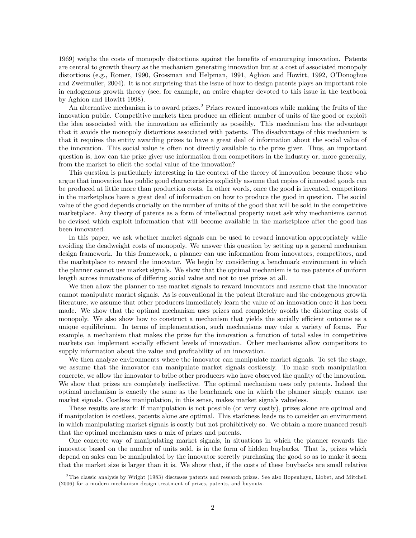1969) weighs the costs of monopoly distortions against the benefits of encouraging innovation. Patents are central to growth theory as the mechanism generating innovation but at a cost of associated monopoly distortions (e.g., Romer, 1990, Grossman and Helpman, 1991, Aghion and Howitt, 1992, O'Donoghue and Zweimuller, 2004). It is not surprising that the issue of how to design patents plays an important role in endogenous growth theory (see, for example, an entire chapter devoted to this issue in the textbook by Aghion and Howitt 1998).

An alternative mechanism is to award prizes.<sup>2</sup> Prizes reward innovators while making the fruits of the innovation public. Competitive markets then produce an efficient number of units of the good or exploit the idea associated with the innovation as efficiently as possibly. This mechanism has the advantage that it avoids the monopoly distortions associated with patents. The disadvantage of this mechanism is that it requires the entity awarding prizes to have a great deal of information about the social value of the innovation. This social value is often not directly available to the prize giver. Thus, an important question is, how can the prize giver use information from competitors in the industry or, more generally, from the market to elicit the social value of the innovation?

This question is particularly interesting in the context of the theory of innovation because those who argue that innovation has public good characteristics explicitly assume that copies of innovated goods can be produced at little more than production costs. In other words, once the good is invented, competitors in the marketplace have a great deal of information on how to produce the good in question. The social value of the good depends crucially on the number of units of the good that will be sold in the competitive marketplace. Any theory of patents as a form of intellectual property must ask why mechanisms cannot be devised which exploit information that will become available in the marketplace after the good has been innovated.

In this paper, we ask whether market signals can be used to reward innovation appropriately while avoiding the deadweight costs of monopoly. We answer this question by setting up a general mechanism design framework. In this framework, a planner can use information from innovators, competitors, and the marketplace to reward the innovator. We begin by considering a benchmark environment in which the planner cannot use market signals. We show that the optimal mechanism is to use patents of uniform length across innovations of differing social value and not to use prizes at all.

We then allow the planner to use market signals to reward innovators and assume that the innovator cannot manipulate market signals. As is conventional in the patent literature and the endogenous growth literature, we assume that other producers immediately learn the value of an innovation once it has been made. We show that the optimal mechanism uses prizes and completely avoids the distorting costs of monopoly. We also show how to construct a mechanism that yields the socially efficient outcome as a unique equilibrium. In terms of implementation, such mechanisms may take a variety of forms. For example, a mechanism that makes the prize for the innovation a function of total sales in competitive markets can implement socially efficient levels of innovation. Other mechanisms allow competitors to supply information about the value and profitability of an innovation.

We then analyze environments where the innovator can manipulate market signals. To set the stage, we assume that the innovator can manipulate market signals costlessly. To make such manipulation concrete, we allow the innovator to bribe other producers who have observed the quality of the innovation. We show that prizes are completely ineffective. The optimal mechanism uses only patents. Indeed the optimal mechanism is exactly the same as the benchmark one in which the planner simply cannot use market signals. Costless manipulation, in this sense, makes market signals valueless.

These results are stark: If manipulation is not possible (or very costly), prizes alone are optimal and if manipulation is costless, patents alone are optimal. This starkness leads us to consider an environment in which manipulating market signals is costly but not prohibitively so. We obtain a more nuanced result that the optimal mechanism uses a mix of prizes and patents.

One concrete way of manipulating market signals, in situations in which the planner rewards the innovator based on the number of units sold, is in the form of hidden buybacks. That is, prizes which depend on sales can be manipulated by the innovator secretly purchasing the good so as to make it seem that the market size is larger than it is. We show that, if the costs of these buybacks are small relative

 $2$ The classic analysis by Wright (1983) discusses patents and research prizes. See also Hopenhayn, Llobet, and Mitchell (2006) for a modern mechanism design treatment of prizes, patents, and buyouts.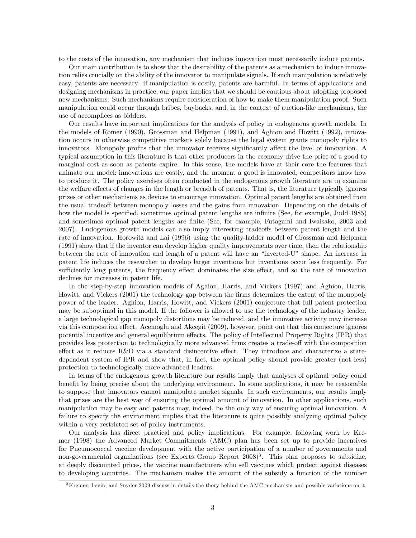to the costs of the innovation, any mechanism that induces innovation must necessarily induce patents.

Our main contribution is to show that the desirability of the patents as a mechanism to induce innovation relies crucially on the ability of the innovator to manipulate signals. If such manipulation is relatively easy, patents are necessary. If manipulation is costly, patents are harmful. In terms of applications and designing mechanisms in practice, our paper implies that we should be cautious about adopting proposed new mechanisms. Such mechanisms require consideration of how to make them manipulation proof. Such manipulation could occur through bribes, buybacks, and, in the context of auction-like mechanisms, the use of accomplices as bidders.

Our results have important implications for the analysis of policy in endogenous growth models. In the models of Romer (1990), Grossman and Helpman (1991), and Aghion and Howitt (1992), innovation occurs in otherwise competitive markets solely because the legal system grants monopoly rights to innovators. Monopoly profits that the innovator receives significantly affect the level of innovation. A typical assumption in this literature is that other producers in the economy drive the price of a good to marginal cost as soon as patents expire. In this sense, the models have at their core the features that animate our model: innovations are costly, and the moment a good is innovated, competitors know how to produce it. The policy exercises often conducted in the endogenous growth literature are to examine the welfare effects of changes in the length or breadth of patents. That is, the literature typically ignores prizes or other mechanisms as devices to encourage innovation. Optimal patent lengths are obtained from the usual tradeoff between monopoly losses and the gains from innovation. Depending on the details of how the model is specified, sometimes optimal patent lengths are infinite (See, for example, Judd 1985) and sometimes optimal patent lengths are finite (See, for example, Futagami and Iwaisako, 2003 and 2007). Endogenous growth models can also imply interesting tradeoffs between patent length and the rate of innovation. Horowitz and Lai (1996) using the quality-ladder model of Grossman and Helpman (1991) show that if the inventor can develop higher quality improvements over time, then the relationship between the rate of innovation and length of a patent will have an "inverted-U" shape. An increase in patent life induces the researcher to develop larger inventions but inventions occur less frequently. For sufficiently long patents, the frequency effect dominates the size effect, and so the rate of innovation declines for increases in patent life.

In the step-by-step innovation models of Aghion, Harris, and Vickers (1997) and Aghion, Harris, Howitt, and Vickers (2001) the technology gap between the firms determines the extent of the monopoly power of the leader. Aghion, Harris, Howitt, and Vickers (2001) conjecture that full patent protection may be suboptimal in this model. If the follower is allowed to use the technology of the industry leader, a large technological gap monopoly distortions may be reduced, and the innovative activity may increase via this composition effect. Acemoglu and Akcegit (2009), however, point out that this conjecture ignores potential incentive and general equilibrium effects. The policy of Intellectual Property Rights (IPR) that provides less protection to technologically more advanced firms creates a trade-off with the composition effect as it reduces  $R&D$  via a standard disincentive effect. They introduce and characterize a statedependent system of IPR and show that, in fact, the optimal policy should provide greater (not less) protection to technologically more advanced leaders.

In terms of the endogenous growth literature our results imply that analyses of optimal policy could benefit by being precise about the underlying environment. In some applications, it may be reasonable to suppose that innovators cannot manipulate market signals. In such environments, our results imply that prizes are the best way of ensuring the optimal amount of innovation. In other applications, such manipulation may be easy and patents may, indeed, be the only way of ensuring optimal innovation. A failure to specify the environment implies that the literature is quite possibly analyzing optimal policy within a very restricted set of policy instruments.

Our analysis has direct practical and policy implications. For example, following work by Kremer (1998) the Advanced Market Commitments (AMC) plan has been set up to provide incentives for Pneumococcal vaccine development with the active participation of a number of governments and non-governmental organizations (see Experts Group Report 2008)<sup>3</sup>. This plan proposes to subsidize, at deeply discounted prices, the vaccine manufacturers who sell vaccines which protect against diseases to developing countries. The mechanism makes the amount of the subsidy a function of the number

<sup>3</sup>Kremer, Levin, and Snyder 2009 discuss in details the thory behind the AMC mechanism and possible variations on it.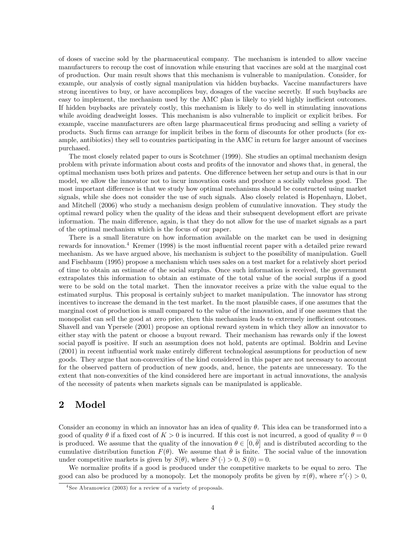of doses of vaccine sold by the pharmaceutical company. The mechanism is intended to allow vaccine manufacturers to recoup the cost of innovation while ensuring that vaccines are sold at the marginal cost of production. Our main result shows that this mechanism is vulnerable to manipulation. Consider, for example, our analysis of costly signal manipulation via hidden buybacks. Vaccine manufacturers have strong incentives to buy, or have accomplices buy, dosages of the vaccine secretly. If such buybacks are easy to implement, the mechanism used by the AMC plan is likely to yield highly inefficient outcomes. If hidden buybacks are privately costly, this mechanism is likely to do well in stimulating innovations while avoiding deadweight losses. This mechanism is also vulnerable to implicit or explicit bribes. For example, vaccine manufacturers are often large pharmaceutical firms producing and selling a variety of products. Such firms can arrange for implicit bribes in the form of discounts for other products (for example, antibiotics) they sell to countries participating in the AMC in return for larger amount of vaccines purchased.

The most closely related paper to ours is Scotchmer (1999). She studies an optimal mechanism design problem with private information about costs and profits of the innovator and shows that, in general, the optimal mechanism uses both prizes and patents. One difference between her setup and ours is that in our model, we allow the innovator not to incur innovation costs and produce a socially valueless good. The most important difference is that we study how optimal mechanisms should be constructed using market signals, while she does not consider the use of such signals. Also closely related is Hopenhayn, Llobet, and Mitchell (2006) who study a mechanism design problem of cumulative innovation. They study the optimal reward policy when the quality of the ideas and their subsequent development effort are private information. The main difference, again, is that they do not allow for the use of market signals as a part of the optimal mechanism which is the focus of our paper.

There is a small literature on how information available on the market can be used in designing rewards for innovation.<sup>4</sup> Kremer (1998) is the most influential recent paper with a detailed prize reward mechanism. As we have argued above, his mechanism is subject to the possibility of manipulation. Guell and Fischbaum (1995) propose a mechanism which uses sales on a test market for a relatively short period of time to obtain an estimate of the social surplus. Once such information is received, the government extrapolates this information to obtain an estimate of the total value of the social surplus if a good were to be sold on the total market. Then the innovator receives a prize with the value equal to the estimated surplus. This proposal is certainly subject to market manipulation. The innovator has strong incentives to increase the demand in the test market. In the most plausible cases, if one assumes that the marginal cost of production is small compared to the value of the innovation, and if one assumes that the monopolist can sell the good at zero price, then this mechanism leads to extremely inefficient outcomes. Shavell and van Ypersele (2001) propose an optional reward system in which they allow an innovator to either stay with the patent or choose a buyout reward. Their mechanism has rewards only if the lowest social payoff is positive. If such an assumption does not hold, patents are optimal. Boldrin and Levine  $(2001)$  in recent influential work make entirely different technological assumptions for production of new goods. They argue that non-convexities of the kind considered in this paper are not necessary to account for the observed pattern of production of new goods, and, hence, the patents are unnecessary. To the extent that non-convexities of the kind considered here are important in actual innovations, the analysis of the necessity of patents when markets signals can be manipulated is applicable.

# 2 Model

Consider an economy in which an innovator has an idea of quality  $\theta$ . This idea can be transformed into a good of quality  $\theta$  if a fixed cost of  $K > 0$  is incurred. If this cost is not incurred, a good of quality  $\theta = 0$ is produced. We assume that the quality of the innovation  $\theta \in [0, \bar{\theta}]$  and is distributed according to the cumulative distribution function  $F(\theta)$ . We assume that  $\theta$  is finite. The social value of the innovation under competitive markets is given by  $S(\theta)$ , where  $S'(\cdot) > 0$ ,  $S(0) = 0$ .

We normalize profits if a good is produced under the competitive markets to be equal to zero. The good can also be produced by a monopoly. Let the monopoly profits be given by  $\pi(\theta)$ , where  $\pi'(\cdot) > 0$ ,

<sup>4</sup> See Abramowicz (2003) for a review of a variety of proposals.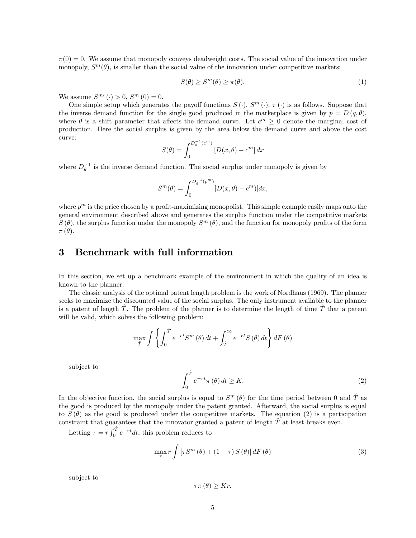$\pi(0) = 0$ . We assume that monopoly conveys deadweight costs. The social value of the innovation under monopoly,  $S^m(\theta)$ , is smaller than the social value of the innovation under competitive markets:

$$
S(\theta) \ge S^m(\theta) \ge \pi(\theta). \tag{1}
$$

We assume  $S^{m}(\cdot) > 0$ ,  $S^{m}(0) = 0$ .

One simple setup which generates the payoff functions  $S(\cdot)$ ,  $S^m(\cdot)$ ,  $\pi(\cdot)$  is as follows. Suppose that the inverse demand function for the single good produced in the marketplace is given by  $p = D(q, \theta)$ . where  $\theta$  is a shift parameter that affects the demand curve. Let  $c^m \geq 0$  denote the marginal cost of production. Here the social surplus is given by the area below the demand curve and above the cost curve:

$$
S(\theta) = \int_0^{D_\theta^{-1}(c^m)} \left[ D(x,\theta) - c^m \right] dx
$$

where  $D_{\theta}^{-1}$  is the inverse demand function. The social surplus under monopoly is given by

$$
S^{m}(\theta) = \int_0^{D_{\theta}^{-1}(p^{m})} [D(x,\theta) - c^{m})] dx,
$$

where  $p^m$  is the price chosen by a profit-maximizing monopolist. This simple example easily maps onto the general environment described above and generates the surplus function under the competitive markets  $S(\theta)$ , the surplus function under the monopoly  $S^m(\theta)$ , and the function for monopoly profits of the form  $\pi(\theta)$ .

### 3 Benchmark with full information

In this section, we set up a benchmark example of the environment in which the quality of an idea is known to the planner.

The classic analysis of the optimal patent length problem is the work of Nordhaus (1969). The planner seeks to maximize the discounted value of the social surplus. The only instrument available to the planner is a patent of length  $\tilde{T}$ . The problem of the planner is to determine the length of time  $\tilde{T}$  that a patent will be valid, which solves the following problem:

$$
\max_{\hat{T}} \int \left\{ \int_0^{\hat{T}} e^{-rt} S^m (\theta) dt + \int_{\hat{T}}^{\infty} e^{-rt} S(\theta) dt \right\} dF(\theta)
$$

subject to

$$
\int_0^{\hat{T}} e^{-rt} \pi(\theta) dt \ge K.
$$
 (2)

In the objective function, the social surplus is equal to  $S^m(\theta)$  for the time period between 0 and  $\hat{T}$  as the good is produced by the monopoly under the patent granted. Afterward, the social surplus is equal to  $S(\theta)$  as the good is produced under the competitive markets. The equation (2) is a participation constraint that guarantees that the innovator granted a patent of length  $\ddot{T}$  at least breaks even.

Letting  $\tau = r \int_0^{\hat{T}} e^{-rt} dt$ , this problem reduces to

$$
\max_{\tau} r \int \left[ \tau S^{m} \left( \theta \right) + \left( 1 - \tau \right) S \left( \theta \right) \right] dF \left( \theta \right) \tag{3}
$$

subject to

$$
\tau \pi \left( \theta \right) \geq Kr.
$$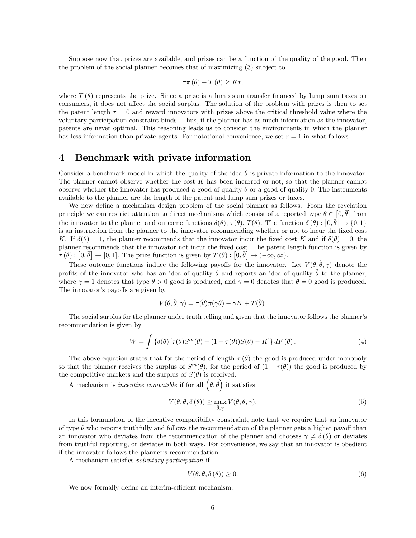Suppose now that prizes are available, and prizes can be a function of the quality of the good. Then the problem of the social planner becomes that of maximizing (3) subject to

$$
\tau \pi \left( \theta \right) + T \left( \theta \right) \geq Kr,
$$

where  $T(\theta)$  represents the prize. Since a prize is a lump sum transfer financed by lump sum taxes on consumers, it does not affect the social surplus. The solution of the problem with prizes is then to set the patent length  $\tau = 0$  and reward innovators with prizes above the critical threshold value where the voluntary participation constraint binds. Thus, if the planner has as much information as the innovator, patents are never optimal. This reasoning leads us to consider the environments in which the planner has less information than private agents. For notational convenience, we set  $r = 1$  in what follows.

### 4 Benchmark with private information

Consider a benchmark model in which the quality of the idea  $\theta$  is private information to the innovator. The planner cannot observe whether the cost K has been incurred or not, so that the planner cannot observe whether the innovator has produced a good of quality  $\theta$  or a good of quality 0. The instruments available to the planner are the length of the patent and lump sum prizes or taxes.

We now define a mechanism design problem of the social planner as follows. From the revelation principle we can restrict attention to direct mechanisms which consist of a reported type  $\theta \in [0, \bar{\theta}]$  from the innovator to the planner and outcome functions  $\delta(\theta)$ ,  $\tau(\theta)$ ,  $T(\theta)$ . The function  $\delta(\theta) : [0, \bar{\theta}] \to \{0, 1\}$ is an instruction from the planner to the innovator recommending whether or not to incur the fixed cost K. If  $\delta(\theta) = 1$ , the planner recommends that the innovator incur the fixed cost K and if  $\delta(\theta) = 0$ , the planner recommends that the innovator not incur the Öxed cost. The patent length function is given by  $\overline{\tau}(\theta) : [0,\overline{\theta}] \to [0,1].$  The prize function is given by  $T(\theta) : [0,\overline{\theta}] \to (-\infty,\infty).$ 

These outcome functions induce the following payoffs for the innovator. Let  $V(\theta, \hat{\theta}, \gamma)$  denote the profits of the innovator who has an idea of quality  $\theta$  and reports an idea of quality  $\hat{\theta}$  to the planner, where  $\gamma = 1$  denotes that type  $\theta > 0$  good is produced, and  $\gamma = 0$  denotes that  $\theta = 0$  good is produced. The innovator's payoffs are given by

$$
V(\theta, \hat{\theta}, \gamma) = \tau(\hat{\theta})\pi(\gamma\theta) - \gamma K + T(\hat{\theta}).
$$

The social surplus for the planner under truth telling and given that the innovator follows the planner's recommendation is given by

$$
W = \int {\{\delta(\theta) [\tau(\theta)S^{m}(\theta) + (1 - \tau(\theta))S(\theta) - K] \} dF(\theta)}.
$$
 (4)

The above equation states that for the period of length  $\tau(\theta)$  the good is produced under monopoly so that the planner receives the surplus of  $S^m(\theta)$ , for the period of  $(1 - \tau(\theta))$  the good is produced by the competitive markets and the surplus of  $S(\theta)$  is received.

A mechanism is *incentive compatible* if for all  $(\theta, \hat{\theta})$  it satisfies

$$
V(\theta, \theta, \delta(\theta)) \ge \max_{\hat{\theta}, \gamma} V(\theta, \hat{\theta}, \gamma).
$$
 (5)

In this formulation of the incentive compatibility constraint, note that we require that an innovator of type  $\theta$  who reports truthfully and follows the recommendation of the planner gets a higher payoff than an innovator who deviates from the recommendation of the planner and chooses  $\gamma \neq \delta(\theta)$  or deviates from truthful reporting, or deviates in both ways. For convenience, we say that an innovator is obedient if the innovator follows the planner's recommendation.

A mechanism satisfies *voluntary participation* if

$$
V(\theta, \theta, \delta(\theta)) \ge 0. \tag{6}
$$

We now formally define an interim-efficient mechanism.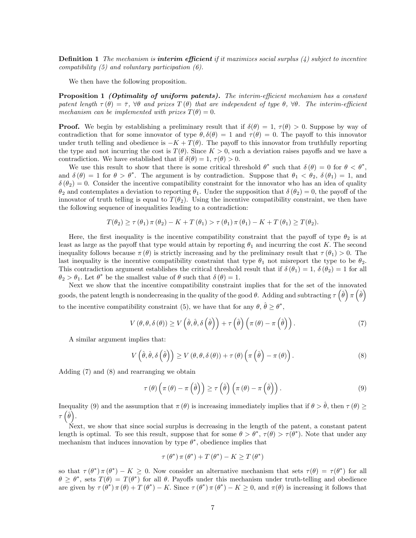**Definition 1** The mechanism is **interim efficient** if it maximizes social surplus  $(4)$  subject to incentive compatibility (5) and voluntary participation (6).

We then have the following proposition.

**Proposition 1 (Optimality of uniform patents).** The interim-efficient mechanism has a constant patent length  $\tau(\theta) = \bar{\tau}$ ,  $\forall \theta$  and prizes  $T(\theta)$  that are independent of type  $\theta$ ,  $\forall \theta$ . The interim-efficient mechanism can be implemented with prizes  $T(\theta) = 0$ .

**Proof.** We begin by establishing a preliminary result that if  $\delta(\theta) = 1$ ,  $\tau(\theta) > 0$ . Suppose by way of contradiction that for some innovator of type  $\theta$ ,  $\delta(\theta) = 1$  and  $\tau(\theta) = 0$ . The payoff to this innovator under truth telling and obedience is  $-K + T(\theta)$ . The payoff to this innovator from truthfully reporting the type and not incurring the cost is  $T(\theta)$ . Since  $K > 0$ , such a deviation raises payoffs and we have a contradiction. We have established that if  $\delta(\theta) = 1, \tau(\theta) > 0.$ 

We use this result to show that there is some critical threshold  $\theta^*$  such that  $\delta(\theta) = 0$  for  $\theta < \theta^*$ , and  $\delta(\theta) = 1$  for  $\theta > \theta^*$ . The argument is by contradiction. Suppose that  $\theta_1 < \theta_2$ ,  $\delta(\theta_1) = 1$ , and  $\delta(\theta_2) = 0$ . Consider the incentive compatibility constraint for the innovator who has an idea of quality  $\theta_2$  and contemplates a deviation to reporting  $\theta_1$ . Under the supposition that  $\delta(\theta_2) = 0$ , the payoff of the innovator of truth telling is equal to  $T(\theta_2)$ . Using the incentive compatibility constraint, we then have the following sequence of inequalities leading to a contradiction:

$$
T(\theta_2) \ge \tau(\theta_1) \pi(\theta_2) - K + T(\theta_1) > \tau(\theta_1) \pi(\theta_1) - K + T(\theta_1) \ge T(\theta_2).
$$

Here, the first inequality is the incentive compatibility constraint that the payoff of type  $\theta_2$  is at least as large as the payoff that type would attain by reporting  $\theta_1$  and incurring the cost K. The second inequality follows because  $\pi(\theta)$  is strictly increasing and by the preliminary result that  $\tau(\theta_1) > 0$ . The last inequality is the incentive compatibility constraint that type  $\theta_1$  not misreport the type to be  $\theta_2$ . This contradiction argument establishes the critical threshold result that if  $\delta(\theta_1) = 1$ ,  $\delta(\theta_2) = 1$  for all  $\theta_2 > \theta_1$ . Let  $\theta^*$  be the smallest value of  $\theta$  such that  $\delta(\theta) = 1$ .

Next we show that the incentive compatibility constraint implies that for the set of the innovated goods, the patent length is nondecreasing in the quality of the good  $\theta$ . Adding and subtracting  $\tau(\hat{\theta}) \pi(\hat{\theta})$ to the incentive compatibility constraint (5), we have that for any  $\theta$ ,  $\hat{\theta} \ge \theta^*$ ,

$$
V(\theta, \theta, \delta(\theta)) \ge V\left(\hat{\theta}, \hat{\theta}, \delta\left(\hat{\theta}\right)\right) + \tau\left(\hat{\theta}\right)\left(\pi(\theta) - \pi\left(\hat{\theta}\right)\right). \tag{7}
$$

A similar argument implies that:

$$
V\left(\hat{\theta},\hat{\theta},\delta\left(\hat{\theta}\right)\right) \ge V\left(\theta,\theta,\delta\left(\theta\right)\right) + \tau\left(\theta\right)\left(\pi\left(\hat{\theta}\right) - \pi\left(\theta\right)\right). \tag{8}
$$

Adding (7) and (8) and rearranging we obtain

$$
\tau(\theta)\left(\pi(\theta)-\pi(\hat{\theta})\right) \geq \tau(\hat{\theta})\left(\pi(\theta)-\pi(\hat{\theta})\right). \tag{9}
$$

Inequality (9) and the assumption that  $\pi(\theta)$  is increasing immediately implies that if  $\theta > \hat{\theta}$ , then  $\tau(\theta) \geq$  $\tau(\hat{\theta})$ .

Next, we show that since social surplus is decreasing in the length of the patent, a constant patent length is optimal. To see this result, suppose that for some  $\theta > \theta^*$ ,  $\tau(\theta) > \tau(\theta^*)$ . Note that under any mechanism that induces innovation by type  $\theta^*$ , obedience implies that

$$
\tau(\theta^*) \pi(\theta^*) + T(\theta^*) - K \ge T(\theta^*)
$$

so that  $\tau(\theta^*) \pi(\theta^*) - K \geq 0$ . Now consider an alternative mechanism that sets  $\tau(\theta) = \tau(\theta^*)$  for all  $\theta \geq \theta^*$ , sets  $T(\theta) = T(\theta^*)$  for all  $\theta$ . Payoffs under this mechanism under truth-telling and obedience are given by  $\tau(\theta^*) \pi(\theta) + T(\theta^*) - K$ . Since  $\tau(\theta^*) \pi(\theta^*) - K \geq 0$ , and  $\pi(\theta)$  is increasing it follows that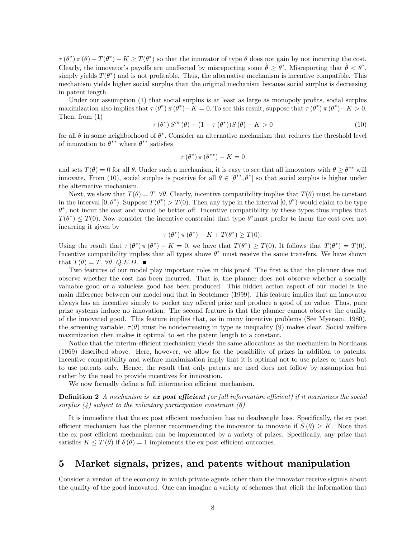$\tau(\theta^*) \pi(\theta) + T(\theta^*) - K \geq T(\theta^*)$  so that the innovator of type  $\theta$  does not gain by not incurring the cost. Clearly, the innovator's payoffs are unaffected by misreporting some  $\hat{\theta} \geq \theta^*$ . Misreporting that  $\hat{\theta} < \theta^*$ , simply yields  $T(\theta^*)$  and is not profitable. Thus, the alternative mechanism is incentive compatible. This mechanism yields higher social surplus than the original mechanism because social surplus is decreasing in patent length.

Under our assumption  $(1)$  that social surplus is at least as large as monopoly profits, social surplus maximization also implies that  $\tau(\theta^*) \pi(\theta^*) - K = 0$ . To see this result, suppose that  $\tau(\theta^*) \pi(\theta^*) - K > 0$ . Then, from (1)

$$
\tau(\theta^*) S^m(\theta) + (1 - \tau(\theta^*)) S(\theta) - K > 0
$$
\n(10)

for all  $\theta$  in some neighborhood of  $\theta^*$ . Consider an alternative mechanism that reduces the threshold level of innovation to  $\theta^{**}$  where  $\theta^{**}$  satisfies

$$
\tau\left(\theta^*\right)\pi\left(\theta^{**}\right) - K = 0
$$

and sets  $T(\theta) = 0$  for all  $\theta$ . Under such a mechanism, it is easy to see that all innovators with  $\theta \geq \theta^{**}$  will innovate. From (10), social surplus is positive for all  $\theta \in [\theta^{**}, \theta^*]$  so that social surplus is higher under the alternative mechanism.

Next, we show that  $T(\theta) = T$ ,  $\forall \theta$ . Clearly, incentive compatibility implies that  $T(\theta)$  must be constant in the interval  $[0, \theta^*)$ . Suppose  $T(\theta^*) > T(0)$ . Then any type in the interval  $[0, \theta^*)$  would claim to be type  $\theta^*$ , not incur the cost and would be better off. Incentive compatibility by these types thus implies that  $T(\theta^*) \leq T(0)$ . Now consider the incentive constraint that type  $\theta^*$  must prefer to incur the cost over not incurring it given by

$$
\tau(\theta^*) \pi(\theta^*) - K + T(\theta^*) \ge T(0).
$$

Using the result that  $\tau(\theta^*) \pi(\theta^*) - K = 0$ , we have that  $T(\theta^*) \geq T(0)$ . It follows that  $T(\theta^*) = T(0)$ . Incentive compatibility implies that all types above  $\theta^*$  must receive the same transfers. We have shown that  $T(\theta) = T$ ,  $\forall \theta$ . Q.E.D.

Two features of our model play important roles in this proof. The first is that the planner does not observe whether the cost has been incurred. That is, the planner does not observe whether a socially valuable good or a valueless good has been produced. This hidden action aspect of our model is the main difference between our model and that in Scotchmer (1999). This feature implies that an innovator always has an incentive simply to pocket any offered prize and produce a good of no value. Thus, pure prize systems induce no innovation. The second feature is that the planner cannot observe the quality of the innovated good. This feature implies that, as in many incentive problems (See Myerson, 1980), the screening variable,  $\tau(\theta)$  must be nondecreasing in type as inequality (9) makes clear. Social welfare maximization then makes it optimal to set the patent length to a constant.

Notice that the interim-efficient mechanism yields the same allocations as the mechanism in Nordhaus (1969) described above. Here, however, we allow for the possibility of prizes in addition to patents. Incentive compatibility and welfare maximization imply that it is optimal not to use prizes or taxes but to use patents only. Hence, the result that only patents are used does not follow by assumption but rather by the need to provide incentives for innovation.

We now formally define a full information efficient mechanism.

**Definition 2** A mechanism is ex post efficient (or full information efficient) if it maximizes the social surplus  $\lambda$  subject to the voluntary participation constraint  $\lambda$ .

It is immediate that the ex post efficient mechanism has no deadweight loss. Specifically, the ex post efficient mechanism has the planner recommending the innovator to innovate if  $S(\theta) \geq K$ . Note that the ex post efficient mechanism can be implemented by a variety of prizes. Specifically, any prize that satisfies  $K \leq T(\theta)$  if  $\delta(\theta) = 1$  implements the ex post efficient outcomes.

# 5 Market signals, prizes, and patents without manipulation

Consider a version of the economy in which private agents other than the innovator receive signals about the quality of the good innovated. One can imagine a variety of schemes that elicit the information that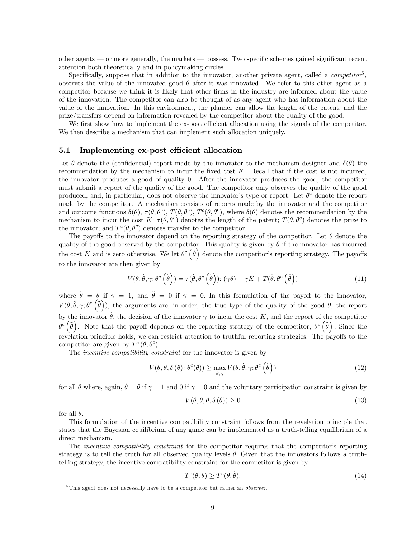other agents  $\sim$  or more generally, the markets  $\sim$  possess. Two specific schemes gained significant recent attention both theoretically and in policymaking circles.

Specifically, suppose that in addition to the innovator, another private agent, called a *competitor*<sup>5</sup>, observes the value of the innovated good  $\theta$  after it was innovated. We refer to this other agent as a competitor because we think it is likely that other Örms in the industry are informed about the value of the innovation. The competitor can also be thought of as any agent who has information about the value of the innovation. In this environment, the planner can allow the length of the patent, and the prize/transfers depend on information revealed by the competitor about the quality of the good.

We first show how to implement the ex-post efficient allocation using the signals of the competitor. We then describe a mechanism that can implement such allocation uniquely.

#### 5.1 Implementing ex-post efficient allocation

Let  $\theta$  denote the (confidential) report made by the innovator to the mechanism designer and  $\delta(\theta)$  the recommendation by the mechanism to incur the fixed cost K. Recall that if the cost is not incurred, the innovator produces a good of quality 0. After the innovator produces the good, the competitor must submit a report of the quality of the good. The competitor only observes the quality of the good produced, and, in particular, does not observe the innovator's type or report. Let  $\theta^c$  denote the report made by the competitor. A mechanism consists of reports made by the innovator and the competitor and outcome functions  $\delta(\theta)$ ,  $\tau(\theta, \theta^c)$ ,  $T(\theta, \theta^c)$ ,  $T^c(\theta, \theta^c)$ , where  $\delta(\theta)$  denotes the recommendation by the mechanism to incur the cost  $K; \tau(\theta, \theta^c)$  denotes the length of the patent;  $T(\theta, \theta^c)$  denotes the prize to the innovator; and  $T^c(\theta, \theta^c)$  denotes transfer to the competitor.

The payoffs to the innovator depend on the reporting strategy of the competitor. Let  $\tilde{\theta}$  denote the quality of the good observed by the competitor. This quality is given by  $\theta$  if the innovator has incurred the cost K and is zero otherwise. We let  $\theta^c(\tilde{\theta})$  denote the competitor's reporting strategy. The payoffs to the innovator are then given by

$$
V(\theta, \hat{\theta}, \gamma; \theta^c \left( \tilde{\theta} \right)) = \tau(\hat{\theta}, \theta^c \left( \tilde{\theta} \right)) \pi(\gamma \theta) - \gamma K + T(\hat{\theta}, \theta^c \left( \tilde{\theta} \right))
$$
(11)

where  $\tilde{\theta} = \theta$  if  $\gamma = 1$ , and  $\tilde{\theta} = 0$  if  $\gamma = 0$ . In this formulation of the payoff to the innovator,  $V(\theta, \hat{\theta}, \gamma; \theta^c \left( \tilde{\theta} \right))$ , the arguments are, in order, the true type of the quality of the good  $\theta$ , the report by the innovator  $\hat{\theta}$ , the decision of the innovator  $\gamma$  to incur the cost K, and the report of the competitor  $\theta^c(\tilde{\theta})$ . Note that the payoff depends on the reporting strategy of the competitor,  $\theta^c(\tilde{\theta})$ . Since the revelation principle holds, we can restrict attention to truthful reporting strategies. The payoffs to the competitor are given by  $T^c(\theta, \theta^c)$ .

The *incentive compatibility constraint* for the innovator is given by

$$
V(\theta, \theta, \delta(\theta); \theta^c(\theta)) \ge \max_{\hat{\theta}, \gamma} V(\theta, \hat{\theta}, \gamma; \theta^c(\tilde{\theta}))
$$
\n(12)

for all  $\theta$  where, again,  $\tilde{\theta} = \theta$  if  $\gamma = 1$  and 0 if  $\gamma = 0$  and the voluntary participation constraint is given by

$$
V(\theta, \theta, \theta, \delta(\theta)) \ge 0 \tag{13}
$$

for all  $\theta$ .

This formulation of the incentive compatibility constraint follows from the revelation principle that states that the Bayesian equilibrium of any game can be implemented as a truth-telling equilibrium of a direct mechanism.

The *incentive compatibility constraint* for the competitor requires that the competitor's reporting strategy is to tell the truth for all observed quality levels  $\theta$ . Given that the innovators follows a truthtelling strategy, the incentive compatibility constraint for the competitor is given by

$$
T^{c}(\theta,\theta) \geq T^{c}(\theta,\hat{\theta}).
$$
\n(14)

<sup>&</sup>lt;sup>5</sup>This agent does not necessaily have to be a competitor but rather an *observer*.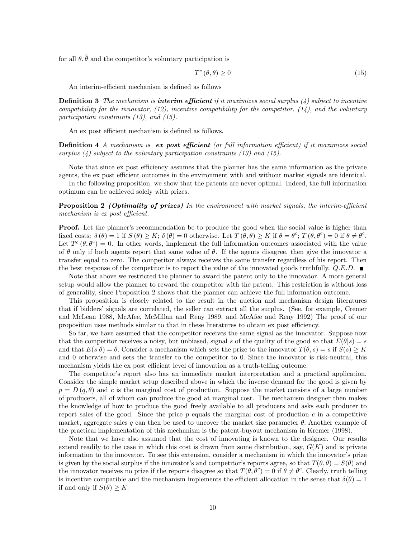for all  $\theta$ ,  $\hat{\theta}$  and the competitor's voluntary participation is

$$
T^{c}(\theta,\theta) \ge 0 \tag{15}
$$

An interim-efficient mechanism is defined as follows

**Definition 3** The mechanism is **interim efficient** if it maximizes social surplus  $\langle \lambda \rangle$  subject to incentive compatibility for the innovator,  $(12)$ , incentive compatibility for the competitor,  $(14)$ , and the voluntary participation constraints (13), and (15).

An ex post efficient mechanism is defined as follows.

**Definition 4** A mechanism is ex post efficient (or full information efficient) if it maximizes social surplus  $(4)$  subject to the voluntary participation constraints  $(13)$  and  $(15)$ .

Note that since ex post efficiency assumes that the planner has the same information as the private agents, the ex post efficient outcomes in the environment with and without market signals are identical.

In the following proposition, we show that the patents are never optimal. Indeed, the full information optimum can be achieved solely with prizes.

#### **Proposition 2** (Optimality of prizes) In the environment with market signals, the interim-efficient mechanism is ex post efficient.

**Proof.** Let the planner's recommendation be to produce the good when the social value is higher than fixed costs:  $\delta(\theta) = 1$  if  $S(\theta) \geq K$ ;  $\delta(\theta) = 0$  otherwise. Let  $T(\theta, \theta) \geq K$  if  $\theta = \theta^c$ ;  $T(\theta, \theta^c) = 0$  if  $\theta \neq \theta^c$ . Let  $T^c(\theta, \theta^c) = 0$ . In other words, implement the full information outcomes associated with the value of  $\theta$  only if both agents report that same value of  $\theta$ . If the agents disagree, then give the innovator a transfer equal to zero. The competitor always receives the same transfer regardless of his report. Then the best response of the competitor is to report the value of the innovated goods truthfully.  $Q.E.D.$ 

Note that above we restricted the planner to award the patent only to the innovator. A more general setup would allow the planner to reward the competitor with the patent. This restriction is without loss of generality, since Proposition 2 shows that the planner can achieve the full information outcome.

This proposition is closely related to the result in the auction and mechanism design literatures that if biddersí signals are correlated, the seller can extract all the surplus. (See, for example, Cremer and McLean 1988, McAfee, McMillan and Reny 1989, and McAfee and Reny 1992) The proof of our proposition uses methods similar to that in these literatures to obtain ex post efficiency.

So far, we have assumed that the competitor receives the same signal as the innovator. Suppose now that the competitor receives a noisy, but unbiased, signal s of the quality of the good so that  $E(\theta|s) = s$ and that  $E(s|\theta) = \theta$ . Consider a mechanism which sets the prize to the innovator  $T(\theta, s) = s$  if  $S(s) \geq K$ and 0 otherwise and sets the transfer to the competitor to 0. Since the innovator is risk-neutral, this mechanism yields the ex post efficient level of innovation as a truth-telling outcome.

The competitor's report also has an immediate market interpretation and a practical application. Consider the simple market setup described above in which the inverse demand for the good is given by  $p = D(q, \theta)$  and c is the marginal cost of production. Suppose the market consists of a large number of producers, all of whom can produce the good at marginal cost. The mechanism designer then makes the knowledge of how to produce the good freely available to all producers and asks each producer to report sales of the good. Since the price  $p$  equals the marginal cost of production  $c$  in a competitive market, aggregate sales q can then be used to uncover the market size parameter  $\theta$ . Another example of the practical implementation of this mechanism is the patent-buyout mechanism in Kremer (1998).

Note that we have also assumed that the cost of innovating is known to the designer. Our results extend readily to the case in which this cost is drawn from some distribution, say,  $G(K)$  and is private information to the innovator. To see this extension, consider a mechanism in which the innovator's prize is given by the social surplus if the innovator's and competitor's reports agree, so that  $T(\theta, \theta) = S(\theta)$  and the innovator receives no prize if the reports disagree so that  $T(\theta, \theta^c) = 0$  if  $\theta \neq \theta^c$ . Clearly, truth telling is incentive compatible and the mechanism implements the efficient allocation in the sense that  $\delta(\theta) = 1$ if and only if  $S(\theta) > K$ .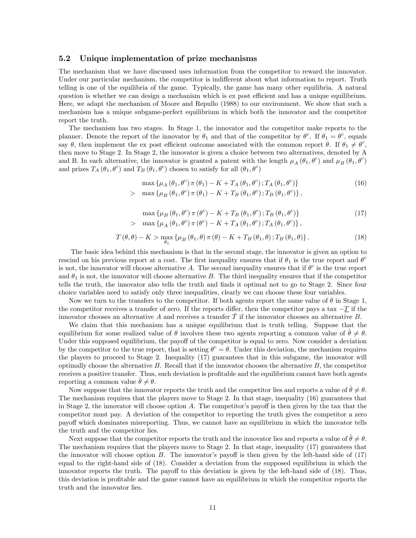#### 5.2 Unique implementation of prize mechanisms

The mechanism that we have discussed uses information from the competitor to reward the innovator. Under our particular mechanism, the competitor is indifferent about what information to report. Truth telling is one of the equilibria of the game. Typically, the game has many other equilibria. A natural question is whether we can design a mechanism which is ex post efficient and has a unique equilibrium. Here, we adapt the mechanism of Moore and Repullo (1988) to our environment. We show that such a mechanism has a unique subgame-perfect equilibrium in which both the innovator and the competitor report the truth.

The mechanism has two stages. In Stage 1, the innovator and the competitor make reports to the planner. Denote the report of the innovator by  $\theta_1$  and that of the competitor by  $\theta^c$ . If  $\theta_1 = \theta^c$ , equals say  $\theta$ , then implement the ex post efficient outcome associated with the common report  $\theta$ . If  $\theta_1 \neq \theta^c$ , then move to Stage 2. In Stage 2, the innovator is given a choice between two alternatives, denoted by A and B. In each alternative, the innovator is granted a patent with the length  $\mu_A(\theta_1, \theta^c)$  and  $\mu_B(\theta_1, \theta^c)$ and prizes  $T_A(\theta_1, \theta^c)$  and  $T_B(\theta_1, \theta^c)$  chosen to satisfy for all  $(\theta_1, \theta^c)$ 

$$
\max \{ \mu_A (\theta_1, \theta^c) \pi (\theta_1) - K + T_A (\theta_1, \theta^c) ; T_A (\theta_1, \theta^c) \}
$$
\n
$$
> \max \{ \mu_B (\theta_1, \theta^c) \pi (\theta_1) - K + T_B (\theta_1, \theta^c) ; T_B (\theta_1, \theta^c) \},
$$
\n(16)

$$
\max \{ \mu_B \left( \theta_1, \theta^c \right) \pi \left( \theta^c \right) - K + T_B \left( \theta_1, \theta^c \right); T_B \left( \theta_1, \theta^c \right) \} \tag{17}
$$
\n
$$
> \max \{ \mu_A \left( \theta_1, \theta^c \right) \pi \left( \theta^c \right) - K + T_A \left( \theta_1, \theta^c \right); T_A \left( \theta_1, \theta^c \right) \},
$$

$$
T(\theta,\theta) - K > \max_{\theta_1} \left\{ \mu_B(\theta_1,\theta) \pi(\theta) - K + T_B(\theta_1,\theta) ; T_B(\theta_1,\theta) \right\}.
$$
 (18)

The basic idea behind this mechanism is that in the second stage, the innovator is given an option to rescind on his previous report at a cost. The first inequality ensures that if  $\theta_1$  is the true report and  $\theta^c$ is not, the innovator will choose alternative A. The second inequality ensures that if  $\theta^c$  is the true report and  $\theta_1$  is not, the innovator will choose alternative B. The third inequality ensures that if the competitor tells the truth, the innovator also tells the truth and finds it optimal not to go to Stage 2. Since four choice variables need to satisfy only three inequalities, clearly we can choose these four variables.

Now we turn to the transfers to the competitor. If both agents report the same value of  $\theta$  in Stage 1, the competitor receives a transfer of zero. If the reports differ, then the competitor pays a tax  $-\underline{T}$  if the innovator chooses an alternative A and receives a transfer  $\overline{T}$  if the innovator chooses an alternative B.

We claim that this mechanism has a unique equilibrium that is truth telling. Suppose that the equilibrium for some realized value of  $\theta$  involves these two agents reporting a common value of  $\theta \neq \theta$ . Under this supposed equilibrium, the payoff of the competitor is equal to zero. Now consider a deviation by the competitor to the true report, that is setting  $\theta^c = \theta$ . Under this deviation, the mechanism requires the players to proceed to Stage 2. Inequality (17) guarantees that in this subgame, the innovator will optimally choose the alternative  $B$ . Recall that if the innovator chooses the alternative  $B$ , the competitor receives a positive transfer. Thus, such deviation is profitable and the equilibrium cannot have both agents reporting a common value  $\ddot{\theta} \neq \theta$ .

Now suppose that the innovator reports the truth and the competitor lies and reports a value of  $\hat{\theta} \neq \theta$ . The mechanism requires that the players move to Stage 2. In that stage, inequality (16) guarantees that in Stage 2, the innovator will choose option  $A$ . The competitor's payoff is then given by the tax that the competitor must pay. A deviation of the competitor to reporting the truth gives the competitor a zero payoff which dominates misreporting. Thus, we cannot have an equilibrium in which the innovator tells the truth and the competitor lies.

Next suppose that the competitor reports the truth and the innovator lies and reports a value of  $\hat{\theta} \neq \theta$ . The mechanism requires that the players move to Stage 2. In that stage, inequality (17) guarantees that the innovator will choose option  $B$ . The innovator's payoff is then given by the left-hand side of  $(17)$ equal to the right-hand side of (18). Consider a deviation from the supposed equilibrium in which the innovator reports the truth. The payoff to this deviation is given by the left-hand side of  $(18)$ . Thus, this deviation is profitable and the game cannot have an equilibrium in which the competitor reports the truth and the innovator lies.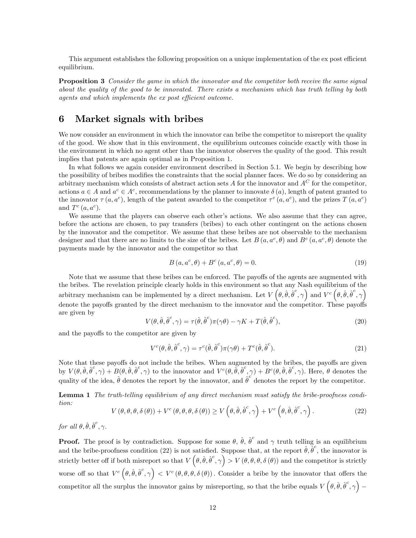This argument establishes the following proposition on a unique implementation of the ex post efficient equilibrium.

**Proposition 3** Consider the game in which the innovator and the competitor both receive the same signal about the quality of the good to be innovated. There exists a mechanism which has truth telling by both agents and which implements the ex post efficient outcome.

## 6 Market signals with bribes

We now consider an environment in which the innovator can bribe the competitor to misreport the quality of the good. We show that in this environment, the equilibrium outcomes coincide exactly with those in the environment in which no agent other than the innovator observes the quality of the good. This result implies that patents are again optimal as in Proposition 1.

In what follows we again consider environment described in Section 5.1. We begin by describing how the possibility of bribes modifies the constraints that the social planner faces. We do so by considering an arbitrary mechanism which consists of abstract action sets A for the innovator and  $A^C$  for the competitor. actions  $a \in A$  and  $a^c \in A^c$ , recommendations by the planner to innovate  $\delta(a)$ , length of patent granted to the innovator  $\tau(a, a^c)$ , length of the patent awarded to the competitor  $\tau^c(a, a^c)$ , and the prizes  $T(a, a^c)$ and  $T^c(a, a^c)$ .

We assume that the players can observe each other's actions. We also assume that they can agree, before the actions are chosen, to pay transfers (bribes) to each other contingent on the actions chosen by the innovator and the competitor. We assume that these bribes are not observable to the mechanism designer and that there are no limits to the size of the bribes. Let  $B(a, a^c, \theta)$  and  $B^c(a, a^c, \theta)$  denote the payments made by the innovator and the competitor so that

$$
B(a, a^c, \theta) + B^c(a, a^c, \theta) = 0.
$$
\n<sup>(19)</sup>

Note that we assume that these bribes can be enforced. The payoffs of the agents are augmented with the bribes. The revelation principle clearly holds in this environment so that any Nash equilibrium of the arbitrary mechanism can be implemented by a direct mechanism. Let  $V(\theta, \hat{\theta}, \hat{\theta}^c, \gamma)$  and  $V^c(\theta, \hat{\theta}, \hat{\theta}^c, \gamma)$ denote the payoffs granted by the direct mechanism to the innovator and the competitor. These payoffs are given by

$$
V(\theta, \hat{\theta}, \hat{\theta}^c, \gamma) = \tau(\hat{\theta}, \hat{\theta}^c) \pi(\gamma \theta) - \gamma K + T(\hat{\theta}, \hat{\theta}^c),
$$
\n(20)

and the payoffs to the competitor are given by

$$
V^{c}(\theta, \hat{\theta}, \hat{\theta}^{c}, \gamma) = \tau^{c}(\hat{\theta}, \hat{\theta}^{c})\pi(\gamma\theta) + T^{c}(\hat{\theta}, \hat{\theta}^{c}).
$$
\n(21)

Note that these payoffs do not include the bribes. When augmented by the bribes, the payoffs are given by  $V(\theta, \hat{\theta}, \hat{\theta}^c, \gamma) + B(\theta, \hat{\theta}, \hat{\theta}^c, \gamma)$  to the innovator and  $V^c(\theta, \hat{\theta}, \hat{\theta}^c, \gamma) + B^c(\theta, \hat{\theta}, \hat{\theta}^c, \gamma)$ . Here,  $\hat{\theta}$  denotes the quality of the idea,  $\hat{\theta}$  denotes the report by the innovator, and  $\hat{\theta}^c$  denotes the report by the competitor.

Lemma 1 The truth-telling equilibrium of any direct mechanism must satisfy the bribe-proofness condition:

$$
V(\theta, \theta, \theta, \delta(\theta)) + V^c(\theta, \theta, \theta, \delta(\theta)) \ge V(\theta, \hat{\theta}, \hat{\theta}^c, \gamma) + V^c(\theta, \hat{\theta}, \hat{\theta}^c, \gamma).
$$
 (22)

for all  $\theta$ ,  $\hat{\theta}$ ,  $\hat{\theta}^c$ ,  $\gamma$ .

**Proof.** The proof is by contradiction. Suppose for some  $\theta$ ,  $\hat{\theta}$ ,  $\hat{\theta}^c$  and  $\gamma$  truth telling is an equilibrium and the bribe-proofness condition (22) is not satisfied. Suppose that, at the report  $\hat{\theta}, \hat{\theta}^c$ , the innovator is strictly better off if both misreport so that  $V(\theta, \hat{\theta}, \hat{\theta}^c, \gamma) > V(\theta, \theta, \theta, \delta(\theta))$  and the competitor is strictly worse off so that  $V^c(\theta, \hat{\theta}, \hat{\theta}^c, \gamma) < V^c(\theta, \theta, \theta, \delta(\theta))$ . Consider a bribe by the innovator that offers the competitor all the surplus the innovator gains by misreporting, so that the bribe equals  $V(\theta, \hat{\theta}, \hat{\theta}^c, \gamma)$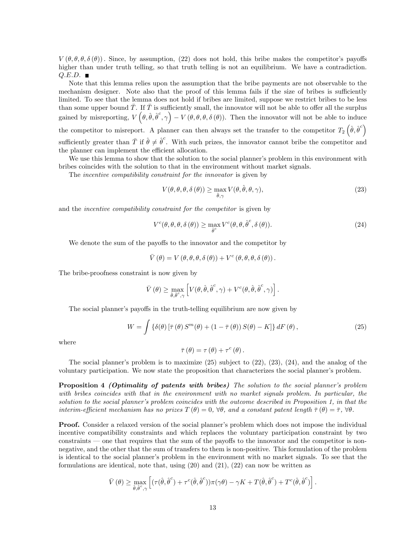$V(\theta, \theta, \theta, \delta(\theta))$ . Since, by assumption, (22) does not hold, this bribe makes the competitor's payoffs higher than under truth telling, so that truth telling is not an equilibrium. We have a contradiction.  $Q.E.D.$ 

Note that this lemma relies upon the assumption that the bribe payments are not observable to the mechanism designer. Note also that the proof of this lemma fails if the size of bribes is sufficiently limited. To see that the lemma does not hold if bribes are limited, suppose we restrict bribes to be less than some upper bound T. If T is sufficiently small, the innovator will not be able to offer all the surplus gained by misreporting,  $V(\theta, \hat{\theta}, \hat{\theta}^c, \gamma) - V(\theta, \theta, \theta, \delta(\theta))$ . Then the innovator will not be able to induce the competitor to misreport. A planner can then always set the transfer to the competitor  $T_2(\hat{\theta}, \hat{\theta}^c)$ sufficiently greater than  $\overline{T}$  if  $\hat{\theta} \neq \hat{\theta}^c$ . With such prizes, the innovator cannot bribe the competitor and the planner can implement the efficient allocation.

We use this lemma to show that the solution to the social planner's problem in this environment with bribes coincides with the solution to that in the environment without market signals.

The incentive compatibility constraint for the innovator is given by

$$
V(\theta, \theta, \theta, \delta(\theta)) \ge \max_{\hat{\theta}, \gamma} V(\theta, \hat{\theta}, \theta, \gamma),
$$
\n(23)

and the incentive compatibility constraint for the competitor is given by

$$
V^{c}(\theta, \theta, \theta, \delta(\theta)) \ge \max_{\hat{\theta}^c} V^{c}(\theta, \theta, \hat{\theta}^c, \delta(\theta)).
$$
\n(24)

We denote the sum of the payoffs to the innovator and the competitor by

$$
\bar{V}(\theta) = V(\theta, \theta, \theta, \delta(\theta)) + V^{c}(\theta, \theta, \theta, \delta(\theta)).
$$

The bribe-proofness constraint is now given by

$$
\bar{V}(\theta) \ge \max_{\hat{\theta}, \hat{\theta}^c, \gamma} \left[ V(\theta, \hat{\theta}, \hat{\theta}^c, \gamma) + V^c(\theta, \hat{\theta}, \hat{\theta}^c, \gamma) \right].
$$

The social planner's payoffs in the truth-telling equilibrium are now given by

$$
W = \int {\{\delta(\theta) [\bar{\tau}(\theta) S^m(\theta) + (1 - \bar{\tau}(\theta)) S(\theta) - K] \} dF(\theta)},
$$
\n(25)

where

$$
\bar{\tau}(\theta) = \tau(\theta) + \tau^{c}(\theta).
$$

The social planner's problem is to maximize  $(25)$  subject to  $(22)$ ,  $(23)$ ,  $(24)$ , and the analog of the voluntary participation. We now state the proposition that characterizes the social planner's problem.

**Proposition 4 (Optimality of patents with bribes)** The solution to the social planner's problem with bribes coincides with that in the environment with no market signals problem. In particular, the solution to the social planner's problem coincides with the outcome described in Proposition 1, in that the interim-efficient mechanism has no prizes  $T(\theta) = 0$ ,  $\forall \theta$ , and a constant patent length  $\bar{\tau}(\theta) = \bar{\tau}$ ,  $\forall \theta$ .

**Proof.** Consider a relaxed version of the social planner's problem which does not impose the individual incentive compatibility constraints and which replaces the voluntary participation constraint by two constraints – one that requires that the sum of the payoffs to the innovator and the competitor is nonnegative, and the other that the sum of transfers to them is non-positive. This formulation of the problem is identical to the social planner's problem in the environment with no market signals. To see that the formulations are identical, note that, using  $(20)$  and  $(21)$ ,  $(22)$  can now be written as

$$
\bar{V}(\theta) \ge \max_{\hat{\theta}, \hat{\theta}^c, \gamma} \left[ (\tau(\hat{\theta}, \hat{\theta}^c) + \tau^c(\hat{\theta}, \hat{\theta}^c)) \pi(\gamma \theta) - \gamma K + T(\hat{\theta}, \hat{\theta}^c) + T^c(\hat{\theta}, \hat{\theta}^c) \right].
$$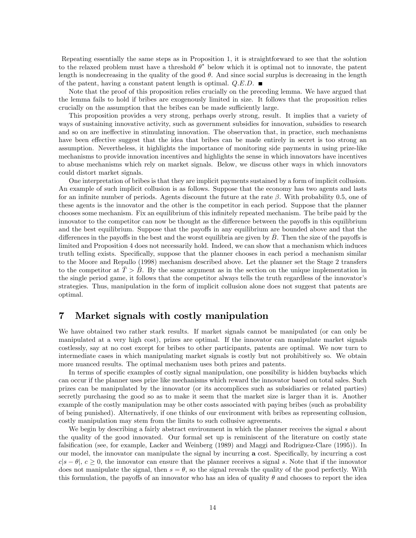Repeating essentially the same steps as in Proposition 1, it is straightforward to see that the solution to the relaxed problem must have a threshold  $\theta^*$  below which it is optimal not to innovate, the patent length is nondecreasing in the quality of the good  $\theta$ . And since social surplus is decreasing in the length of the patent, having a constant patent length is optimal.  $Q.E.D.$ 

Note that the proof of this proposition relies crucially on the preceding lemma. We have argued that the lemma fails to hold if bribes are exogenously limited in size. It follows that the proposition relies crucially on the assumption that the bribes can be made sufficiently large.

This proposition provides a very strong, perhaps overly strong, result. It implies that a variety of ways of sustaining innovative activity, such as government subsidies for innovation, subsidies to research and so on are ineffective in stimulating innovation. The observation that, in practice, such mechanisms have been effective suggest that the idea that bribes can be made entirely in secret is too strong an assumption. Nevertheless, it highlights the importance of monitoring side payments in using prize-like mechanisms to provide innovation incentives and highlights the sense in which innovators have incentives to abuse mechanisms which rely on market signals. Below, we discuss other ways in which innovators could distort market signals.

One interpretation of bribes is that they are implicit payments sustained by a form of implicit collusion. An example of such implicit collusion is as follows. Suppose that the economy has two agents and lasts for an infinite number of periods. Agents discount the future at the rate  $\beta$ . With probability 0.5, one of these agents is the innovator and the other is the competitor in each period. Suppose that the planner chooses some mechanism. Fix an equilibrium of this infinitely repeated mechanism. The bribe paid by the innovator to the competitor can now be thought as the difference between the payoffs in this equilibrium and the best equilibrium. Suppose that the payoffs in any equilibrium are bounded above and that the differences in the payoffs in the best and the worst equilibria are given by  $B$ . Then the size of the payoffs is limited and Proposition 4 does not necessarily hold. Indeed, we can show that a mechanism which induces truth telling exists. Specifically, suppose that the planner chooses in each period a mechanism similar to the Moore and Repullo (1998) mechanism described above. Let the planner set the Stage 2 transfers to the competitor at  $T > B$ . By the same argument as in the section on the unique implementation in the single period game, it follows that the competitor always tells the truth regardless of the innovator's strategies. Thus, manipulation in the form of implicit collusion alone does not suggest that patents are optimal.

### 7 Market signals with costly manipulation

We have obtained two rather stark results. If market signals cannot be manipulated (or can only be manipulated at a very high cost), prizes are optimal. If the innovator can manipulate market signals costlessly, say at no cost except for bribes to other participants, patents are optimal. We now turn to intermediate cases in which manipulating market signals is costly but not prohibitively so. We obtain more nuanced results. The optimal mechanism uses both prizes and patents.

In terms of specific examples of costly signal manipulation, one possibility is hidden buybacks which can occur if the planner uses prize like mechanisms which reward the innovator based on total sales. Such prizes can be manipulated by the innovator (or its accomplices such as subsidiaries or related parties) secretly purchasing the good so as to make it seem that the market size is larger than it is. Another example of the costly manipulation may be other costs associated with paying bribes (such as probability of being punished). Alternatively, if one thinks of our environment with bribes as representing collusion, costly manipulation may stem from the limits to such collusive agreements.

We begin by describing a fairly abstract environment in which the planner receives the signal s about the quality of the good innovated. Our formal set up is reminiscent of the literature on costly state falsification (see, for example, Lacker and Weinberg (1989) and Maggi and Rodriguez-Clare (1995)). In our model, the innovator can manipulate the signal by incurring **a** cost. Specifically, by incurring a cost  $c|s - \theta|$ ,  $c \ge 0$ , the innovator can ensure that the planner receives a signal s. Note that if the innovator does not manipulate the signal, then  $s = \theta$ , so the signal reveals the quality of the good perfectly. With this formulation, the payoffs of an innovator who has an idea of quality  $\theta$  and chooses to report the idea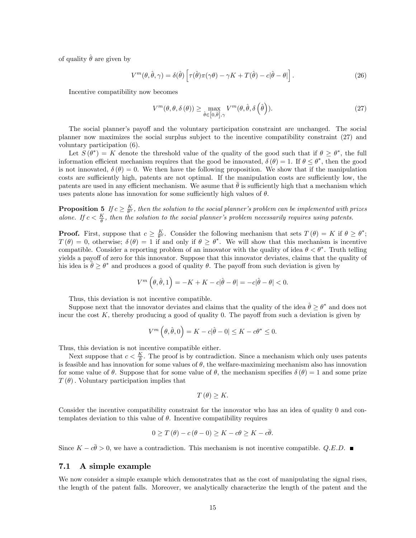of quality  $\hat{\theta}$  are given by

$$
V^{m}(\theta, \hat{\theta}, \gamma) = \delta(\hat{\theta}) \left[ \tau(\hat{\theta}) \pi(\gamma \theta) - \gamma K + T(\hat{\theta}) - c|\hat{\theta} - \theta| \right]. \tag{26}
$$

Incentive compatibility now becomes

$$
V^{m}(\theta, \theta, \delta(\theta)) \ge \max_{\hat{\theta} \in [0, \bar{\theta}], \gamma} V^{m}(\theta, \hat{\theta}, \delta(\hat{\theta})).
$$
\n(27)

The social planner's payoff and the voluntary participation constraint are unchanged. The social planner now maximizes the social surplus subject to the incentive compatibility constraint (27) and voluntary participation (6).

Let  $S(\theta^*) = K$  denote the threshold value of the quality of the good such that if  $\theta \geq \theta^*$ , the full information efficient mechanism requires that the good be innovated,  $\delta(\theta) = 1$ . If  $\theta \leq \theta^*$ , then the good is not innovated,  $\delta(\theta) = 0$ . We then have the following proposition. We show that if the manipulation costs are sufficiently high, patents are not optimal. If the manipulation costs are sufficiently low, the patents are used in any efficient mechanism. We asume that  $\theta$  is sufficiently high that a mechanism which uses patents alone has innovation for some sufficiently high values of  $\theta$ .

**Proposition 5** If  $c \geq \frac{K}{\theta^*}$ , then the solution to the social planner's problem can be implemented with prizes alone. If  $c < \frac{K}{\theta}$ , then the solution to the social planner's problem necessarily requires using patents.

**Proof.** First, suppose that  $c \geq \frac{K}{\theta^*}$ . Consider the following mechanism that sets  $T(\theta) = K$  if  $\theta \geq \theta^*$ ;  $T(\theta) = 0$ , otherwise;  $\delta(\theta) = 1$  if and only if  $\theta \ge \theta^*$ . We will show that this mechanism is incentive compatible. Consider a reporting problem of an innovator with the quality of idea  $\theta < \theta^*$ . Truth telling yields a payoff of zero for this innovator. Suppose that this innovator deviates, claims that the quality of his idea is  $\hat{\theta} \geq \theta^*$  and produces a good of quality  $\theta$ . The payoff from such deviation is given by

$$
V^m\left(\theta,\hat{\theta},1\right) = -K + K - c|\hat{\theta} - \theta| = -c|\hat{\theta} - \theta| < 0.
$$

Thus, this deviation is not incentive compatible.

Suppose next that the innovator deviates and claims that the quality of the idea  $\hat{\theta} \geq \theta^*$  and does not incur the cost K, thereby producing a good of quality 0. The payoff from such a deviation is given by

$$
V^m\left(\theta,\hat{\theta},0\right) = K - c|\hat{\theta} - 0| \le K - c\theta^* \le 0.
$$

Thus, this deviation is not incentive compatible either.

Next suppose that  $c < \frac{K}{\theta}$ . The proof is by contradiction. Since a mechanism which only uses patents is feasible and has innovation for some values of  $\theta$ , the welfare-maximizing mechanism also has innovation for some value of  $\theta$ . Suppose that for some value of  $\theta$ , the mechanism specifies  $\delta(\theta) = 1$  and some prize  $T(\theta)$ . Voluntary participation implies that

$$
T(\theta) \geq K.
$$

Consider the incentive compatibility constraint for the innovator who has an idea of quality 0 and contemplates deviation to this value of  $\theta$ . Incentive compatibility requires

$$
0 \ge T(\theta) - c(\theta - 0) \ge K - c\theta \ge K - c\overline{\theta}.
$$

Since  $K - c\bar{\theta} > 0$ , we have a contradiction. This mechanism is not incentive compatible. Q.E.D.

### 7.1 A simple example

We now consider a simple example which demonstrates that as the cost of manipulating the signal rises, the length of the patent falls. Moreover, we analytically characterize the length of the patent and the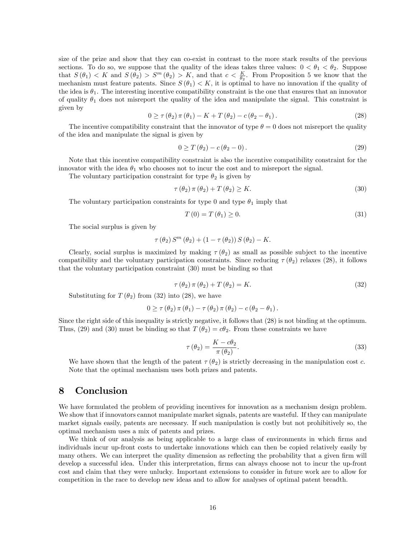size of the prize and show that they can co-exist in contrast to the more stark results of the previous sections. To do so, we suppose that the quality of the ideas takes three values:  $0 < \theta_1 < \theta_2$ . Suppose that  $S(\theta_1) < K$  and  $S(\theta_2) > S^m(\theta_2) > K$ , and that  $c < \frac{K}{\theta_2}$ . From Proposition 5 we know that the mechanism must feature patents. Since  $S(\theta_1) < K$ , it is optimal to have no innovation if the quality of the idea is  $\theta_1$ . The interesting incentive compatibility constraint is the one that ensures that an innovator of quality  $\theta_1$  does not misreport the quality of the idea and manipulate the signal. This constraint is given by

$$
0 \ge \tau(\theta_2)\,\pi(\theta_1) - K + T(\theta_2) - c(\theta_2 - \theta_1). \tag{28}
$$

The incentive compatibility constraint that the innovator of type  $\theta = 0$  does not misreport the quality of the idea and manipulate the signal is given by

$$
0 \ge T(\theta_2) - c(\theta_2 - 0). \tag{29}
$$

Note that this incentive compatibility constraint is also the incentive compatibility constraint for the innovator with the idea  $\theta_1$  who chooses not to incur the cost and to misreport the signal.

The voluntary participation constraint for type  $\theta_2$  is given by

$$
\tau(\theta_2)\,\pi(\theta_2)+T(\theta_2)\geq K.\tag{30}
$$

The voluntary participation constraints for type 0 and type  $\theta_1$  imply that

$$
T(0) = T(\theta_1) \ge 0. \tag{31}
$$

The social surplus is given by

$$
\tau(\theta_2) S^m(\theta_2) + (1 - \tau(\theta_2)) S(\theta_2) - K.
$$

Clearly, social surplus is maximized by making  $\tau(\theta_2)$  as small as possible subject to the incentive compatibility and the voluntary participation constraints. Since reducing  $\tau(\theta_2)$  relaxes (28), it follows that the voluntary participation constraint (30) must be binding so that

$$
\tau(\theta_2)\,\pi(\theta_2)+T(\theta_2)=K.\tag{32}
$$

Substituting for  $T(\theta_2)$  from (32) into (28), we have

$$
0 \ge \tau(\theta_2) \pi(\theta_1) - \tau(\theta_2) \pi(\theta_2) - c(\theta_2 - \theta_1).
$$

Since the right side of this inequality is strictly negative, it follows that (28) is not binding at the optimum. Thus, (29) and (30) must be binding so that  $T(\theta_2) = c\theta_2$ . From these constraints we have

$$
\tau(\theta_2) = \frac{K - c\theta_2}{\pi(\theta_2)}.
$$
\n(33)

We have shown that the length of the patent  $\tau(\theta_2)$  is strictly decreasing in the manipulation cost c. Note that the optimal mechanism uses both prizes and patents.

### 8 Conclusion

We have formulated the problem of providing incentives for innovation as a mechanism design problem. We show that if innovators cannot manipulate market signals, patents are wasteful. If they can manipulate market signals easily, patents are necessary. If such manipulation is costly but not prohibitively so, the optimal mechanism uses a mix of patents and prizes.

We think of our analysis as being applicable to a large class of environments in which firms and individuals incur up-front costs to undertake innovations which can then be copied relatively easily by many others. We can interpret the quality dimension as reflecting the probability that a given firm will develop a successful idea. Under this interpretation, firms can always choose not to incur the up-front cost and claim that they were unlucky. Important extensions to consider in future work are to allow for competition in the race to develop new ideas and to allow for analyses of optimal patent breadth.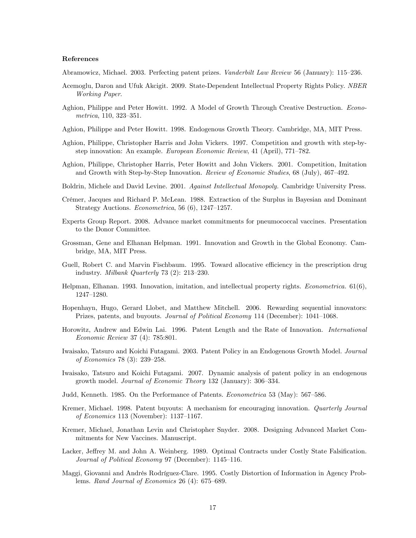#### References

- Abramowicz, Michael. 2003. Perfecting patent prizes. *Vanderbilt Law Review* 56 (January): 115–236.
- Acemoglu, Daron and Ufuk Akcigit. 2009. State-Dependent Intellectual Property Rights Policy. NBER Working Paper.
- Aghion, Philippe and Peter Howitt. 1992. A Model of Growth Through Creative Destruction. Econo $metrica, 110, 323-351.$
- Aghion, Philippe and Peter Howitt. 1998. Endogenous Growth Theory. Cambridge, MA, MIT Press.
- Aghion, Philippe, Christopher Harris and John Vickers. 1997. Competition and growth with step-bystep innovation: An example. European Economic Review, 41 (April), 771–782.
- Aghion, Philippe, Christopher Harris, Peter Howitt and John Vickers. 2001. Competition, Imitation and Growth with Step-by-Step Innovation. Review of Economic Studies, 68 (July), 467-492.
- Boldrin, Michele and David Levine. 2001. Against Intellectual Monopoly. Cambridge University Press.
- Crémer, Jacques and Richard P. McLean. 1988. Extraction of the Surplus in Bayesian and Dominant Strategy Auctions. *Econometrica*, 56  $(6)$ , 1247–1257.
- Experts Group Report. 2008. Advance market commitments for pneumococcal vaccines. Presentation to the Donor Committee.
- Grossman, Gene and Elhanan Helpman. 1991. Innovation and Growth in the Global Economy. Cambridge, MA, MIT Press.
- Guell, Robert C. and Marvin Fischbaum. 1995. Toward allocative efficiency in the prescription drug industry. Milbank Quarterly  $73$  (2):  $213-230$ .
- Helpman, Elhanan. 1993. Innovation, imitation, and intellectual property rights. Econometrica. 61(6), 1247-1280.
- Hopenhayn, Hugo, Gerard Llobet, and Matthew Mitchell. 2006. Rewarding sequential innovators: Prizes, patents, and buyouts. Journal of Political Economy 114 (December): 1041–1068.
- Horowitz, Andrew and Edwin Lai. 1996. Patent Length and the Rate of Innovation. International Economic Review 37 (4): 785:801.
- Iwaisako, Tatsuro and Koichi Futagami. 2003. Patent Policy in an Endogenous Growth Model. Journal of Economics 78 (3):  $239-258$ .
- Iwaisako, Tatsuro and Koichi Futagami. 2007. Dynamic analysis of patent policy in an endogenous growth model. Journal of Economic Theory 132 (January): 306–334.
- Judd, Kenneth. 1985. On the Performance of Patents. *Econometrica* 53 (May):  $567-586$ .
- Kremer, Michael. 1998. Patent buyouts: A mechanism for encouraging innovation. Quarterly Journal of Economics 113 (November):  $1137-1167$ .
- Kremer, Michael, Jonathan Levin and Christopher Snyder. 2008. Designing Advanced Market Commitments for New Vaccines. Manuscript.
- Lacker, Jeffrey M. and John A. Weinberg. 1989. Optimal Contracts under Costly State Falsification. Journal of Political Economy 97 (December): 1145-116.
- Maggi, Giovanni and Andrés Rodríguez-Clare. 1995. Costly Distortion of Information in Agency Problems. Rand Journal of Economics 26 (4):  $675-689$ .